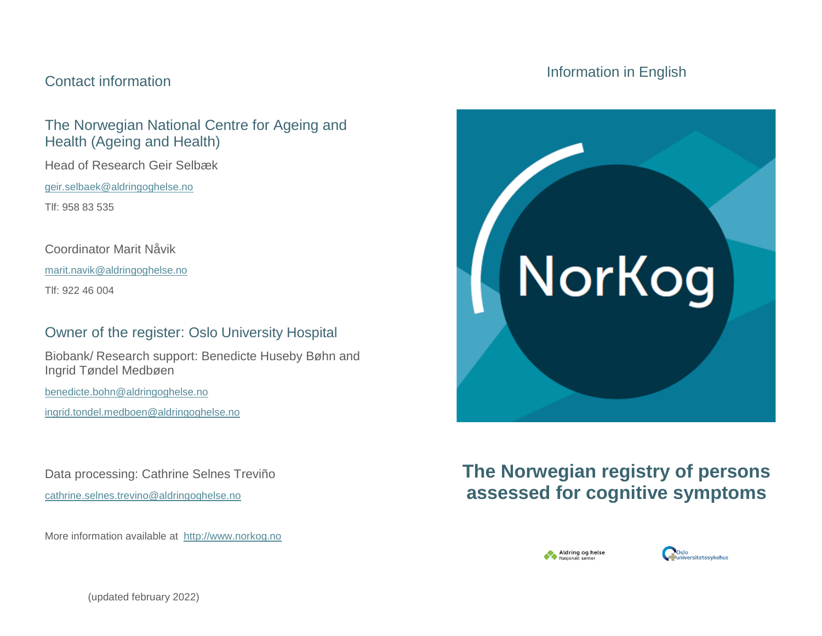### Contact information

## The Norwegian National Centre for Ageing and Health (Ageing and Health)

Head of Research Geir Selbæk

[geir.selbaek@aldringoghelse.no](mailto:geir.selbaek@aldringoghelse.no)

Tlf: 958 83 535

Coordinator Marit Nåvik

[marit.navik@aldringoghelse.no](mailto:marit.navik@aldringoghelse.no)

Tlf: 922 46 004

# Owner of the register: Oslo University Hospital

Biobank/ Research support: Benedicte Huseby Bøhn and Ingrid Tøndel Medbøen

[benedicte.bohn@aldringoghelse.no](mailto:benedicte.bohn@aldringoghelse.no)

[ingrid.tondel.medboen@aldringoghelse.no](mailto:ingrid.tondel.medboen@aldringoghelse.no)

Data processing: Cathrine Selnes Treviño [cathrine.selnes.trevino@aldringoghelse.no](mailto:cathrine.selnes.trevino@aldringoghelse.no)

More information available at [http://www.norkog.no](http://www.norkog.no/)

## Information in English



# **The Norwegian registry of persons assessed for cognitive symptoms**